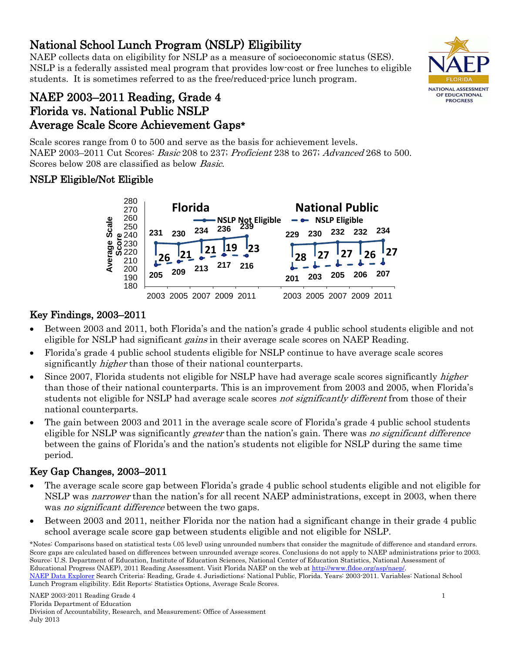#### NAEP 2003-2011 Reading Grade 4 Florida Department of Education Division of Accountability, Research, and Measurement; Office of Assessment July 2013

National School Lunch Program (NSLP) Eligibility<br>NAEP collects data on eligibility for NSLP as a measure of socioeconomic status (SES). NSLP is a federally assisted meal program that provides low-cost or free lunches to eligible students. It is sometimes referred to as the free/reduced-price lunch program.

# NAEP 2003–2011 Reading, Grade 4 Florida vs. National Public NSLP Average Scale Score Achievement Gaps\*

Scale scores range from 0 to 500 and serve as the basis for achievement levels. NAEP 2003–2011 Cut Scores: Basic 208 to 237; Proficient 238 to 267; Advanced 268 to 500. Scores below 208 are classified as below Basic.

## NSLP Eligible/Not Eligible



# Key Findings, 2003–2011

- Between 2003 and 2011, both Florida's and the nation's grade 4 public school students eligible and not eligible for NSLP had significant *gains* in their average scale scores on NAEP Reading.
- Florida's grade 4 public school students eligible for NSLP continue to have average scale scores significantly *higher* than those of their national counterparts.
- Since 2007, Florida students not eligible for NSLP have had average scale scores significantly *higher* than those of their national counterparts. This is an improvement from 2003 and 2005, when Florida's students not eligible for NSLP had average scale scores *not significantly different* from those of their national counterparts.
- The gain between 2003 and 2011 in the average scale score of Florida's grade 4 public school students eligible for NSLP was significantly *greater* than the nation's gain. There was *no significant difference* between the gains of Florida's and the nation's students not eligible for NSLP during the same time period.

# Key Gap Changes, 2003–2011

- The average scale score gap between Florida's grade 4 public school students eligible and not eligible for NSLP was narrower than the nation's for all recent NAEP administrations, except in 2003, when there was *no significant difference* between the two gaps.
- Between 2003 and 2011, neither Florida nor the nation had a significant change in their grade 4 public school average scale score gap between students eligible and not eligible for NSLP.



<sup>\*</sup>Notes: Comparisons based on statistical tests (.05 level) using unrounded numbers that consider the magnitude of difference and standard errors. Score gaps are calculated based on differences between unrounded average scores. Conclusions do not apply to NAEP administrations prior to 2003. Source: U.S. Department of Education, Institute of Education Sciences, National Center of Education Statistics, National Assessment of Educational Progress (NAEP), 2011 Reading Assessment. Visit Florida NAEP on the web at [http://www.fldoe.org/asp/naep/.](http://www.fldoe.org/asp/naep/) 

[NAEP Data Explorer](http://nces.ed.gov/nationsreportcard/naepdata/) Search Criteria: Reading, Grade 4. Jurisdictions: National Public, Florida. Years: 2003-2011. Variables: National School Lunch Program eligibility. Edit Reports: Statistics Options, Average Scale Scores.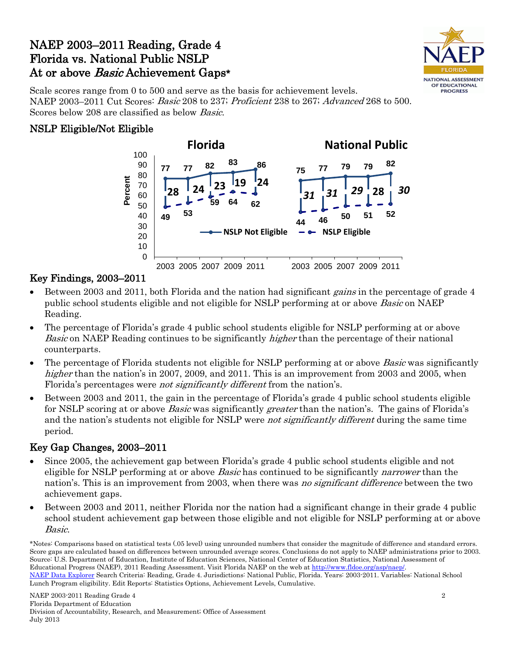# NAEP 2003–2011 Reading, Grade 4 Florida vs. National Public NSLP At or above Basic Achievement Gaps\*



Scale scores range from 0 to 500 and serve as the basis for achievement levels. NAEP 2003–2011 Cut Scores: Basic 208 to 237; Proficient 238 to 267; Advanced 268 to 500. Scores below 208 are classified as below Basic.

### NSLP Eligible/Not Eligible



### Key Findings, 2003–2011

- Between 2003 and 2011, both Florida and the nation had significant *gains* in the percentage of grade 4 public school students eligible and not eligible for NSLP performing at or above *Basic* on NAEP Reading.
- The percentage of Florida's grade 4 public school students eligible for NSLP performing at or above Basic on NAEP Reading continues to be significantly *higher* than the percentage of their national counterparts.
- The percentage of Florida students not eligible for NSLP performing at or above *Basic* was significantly higher than the nation's in 2007, 2009, and 2011. This is an improvement from 2003 and 2005, when Florida's percentages were *not significantly different* from the nation's.
- Between 2003 and 2011, the gain in the percentage of Florida's grade 4 public school students eligible for NSLP scoring at or above *Basic* was significantly *greater* than the nation's. The gains of Florida's and the nation's students not eligible for NSLP were *not significantly different* during the same time period.

### Key Gap Changes, 2003–2011

- Since 2005, the achievement gap between Florida's grade 4 public school students eligible and not eligible for NSLP performing at or above *Basic* has continued to be significantly *narrower* than the nation's. This is an improvement from 2003, when there was no significant difference between the two achievement gaps.
- Between 2003 and 2011, neither Florida nor the nation had a significant change in their grade 4 public school student achievement gap between those eligible and not eligible for NSLP performing at or above Basic.

<sup>\*</sup>Notes: Comparisons based on statistical tests (.05 level) using unrounded numbers that consider the magnitude of difference and standard errors. Score gaps are calculated based on differences between unrounded average scores. Conclusions do not apply to NAEP administrations prior to 2003. Source: U.S. Department of Education, Institute of Education Sciences, National Center of Education Statistics, National Assessment of Educational Progress (NAEP), 2011 Reading Assessment. Visit Florida NAEP on the web at [http://www.fldoe.org/asp/naep/.](http://www.fldoe.org/asp/naep/)  [NAEP Data Explorer](http://nces.ed.gov/nationsreportcard/naepdata/) Search Criteria: Reading, Grade 4. Jurisdictions: National Public, Florida. Years: 2003-2011. Variables: National School Lunch Program eligibility. Edit Reports: Statistics Options, Achievement Levels, Cumulative.